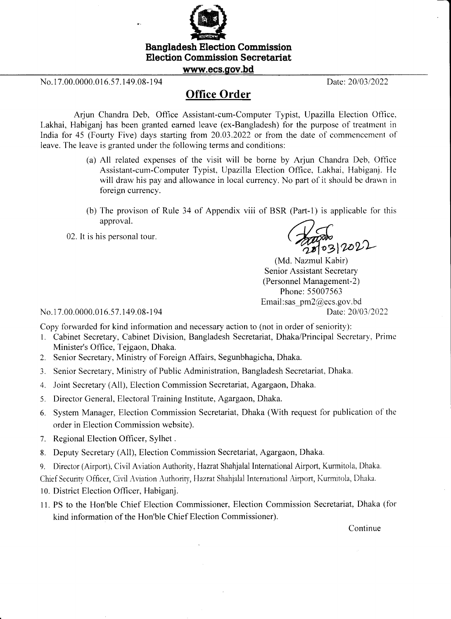

## Election Commission Secretariat

www.ecs.gov.bd

No. 17.00.0000.016.57.149.08-194 Date: 20/03/2022

## Office Order

Arjun Chandra Deb, Office Assistant-cum-Computer Typist, Upazilla Election Offlce, Lakhai, Habiganj has been granted earned leave (ex-Bangladesh) for the purpose of treatment in lndia fbr 45 (Fourty Five) days starting from 20.03.2022 or fiom the date of commencement of leave. The leave is granted under the following terms and conditions:

- (a) All related expenses of the visit will be borne by Arjun Chandra Deb, Oflce Assistant-cum-Computer Typist, Upazilla Election Office. Lakhai, Habiganj. He will draw his pay and allowance in local currency. No part of it should be drawn in foreign currency.
- (b) The provison of Rule 34 of Appendix viii of BSR (Part-1) is applicable for this approval.
- approval.<br>02. It is his personal tour.

10312022

(Md. Nazmul Kabir) Senior Assistant Secretary (Personnel Management-2) Phone: 55007563 Email:sas pm2@ecs.gov.bd

No.17.00.0000.016.57.149.08-194 Date: 20/03/2022

Copy forwarded for kind information and necessary action to (not in order of seniority):

- l. Cabinet Secretary, Cabinet Division, Bangladesh Secretariat, Dhaka/Principal Secretary, Prime Minister's Office, Tejgaon, Dhaka.
- 2. Senior Secretary, Ministry of Foreign AfTairs, Segunbhagicha, Dhaka.
- 3. Senior Secretary, Ministry of Public Administration, Bangladesh Secretariat, Dhaka.
- 4. Joint Secretary (All), Election Commission Secretariat, Agargaon, Dhaka.
- 5. Director General, Electoral Training Institute, Agargaon, Dhaka.
- 6. System Manager, Election Commission Secretariat, Dhaka (With request for publication of the order in Election Commission website).
- 7. Regional Election Officer, Sylhet .
- 8, Deputy Secretary (All), Election Commission Secretariat, Agargaon, Dhaka.
- 9. Director (Airport), Civil Aviation Authority, Hazrat Shahjalal International Airport, Kurmitola, Dhaka.

Chief Security Officer, Civil Aviation Authority, Hazrat Shahjalal International Airport, Kurmitola, Dhaka.

- 10. District Election Officer, Habiganj.
- <sup>I</sup>l. PS to the Hon'ble Chief Election Commissioner, Election Commission Secretariat, Dhaka (fbr kind information of the Hon'ble Chief Election Commissioner).

Continue